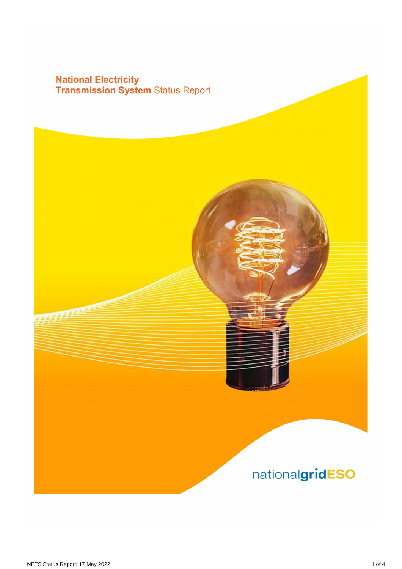# **National Electricity<br>Transmission System Status Report**

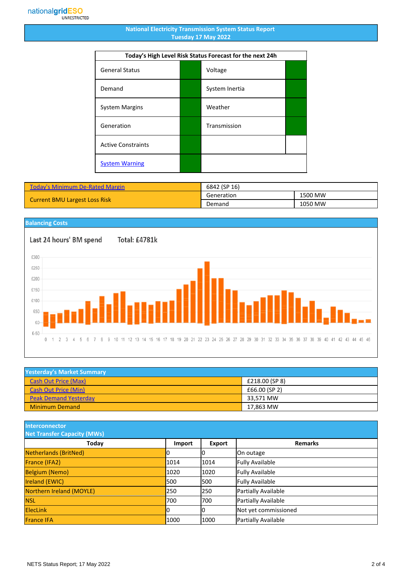#### **National Electricity Transmission System Status Report Tuesday 17 May 2022**

| Today's High Level Risk Status Forecast for the next 24h |  |                |  |
|----------------------------------------------------------|--|----------------|--|
| <b>General Status</b>                                    |  | Voltage        |  |
| Demand                                                   |  | System Inertia |  |
| <b>System Margins</b>                                    |  | Weather        |  |
| Generation                                               |  | Transmission   |  |
| <b>Active Constraints</b>                                |  |                |  |
| <b>System Warning</b>                                    |  |                |  |

| <b>Today's Minimum De-Rated Margin</b> | 6842 (SP 16) |         |
|----------------------------------------|--------------|---------|
| <b>Current BMU Largest Loss Risk</b>   | Generation   | 1500 MW |
|                                        | Demand       | 1050 MW |

### **Balancing Costs**

Last 24 hours' BM spend £300 £250

Total: £4781k



| <b>Yesterday's Market Summary</b> |                |
|-----------------------------------|----------------|
| <b>Cash Out Price (Max)</b>       | £218.00 (SP 8) |
| <b>Cash Out Price (Min)</b>       | £66.00 (SP 2)  |
| <b>Peak Demand Yesterday</b>      | 33.571 MW      |
| <b>Minimum Demand</b>             | 17.863 MW      |

**Interconnector**

| <b>Net Transfer Capacity (MWs)</b> |        |               |                        |
|------------------------------------|--------|---------------|------------------------|
| Today                              | Import | <b>Export</b> | <b>Remarks</b>         |
| Netherlands (BritNed)              |        | Ю             | On outage              |
| France (IFA2)                      | 1014   | 1014          | <b>Fully Available</b> |
| <b>Belgium (Nemo)</b>              | 1020   | 1020          | <b>Fully Available</b> |
| <b>Ireland (EWIC)</b>              | 500    | 1500          | <b>Fully Available</b> |
| Northern Ireland (MOYLE)           | 250    | 1250          | Partially Available    |
| <b>NSL</b>                         | 700    | 1700          | Partially Available    |
| <b>ElecLink</b>                    | 10     | IО            | Not yet commissioned   |
| <b>France IFA</b>                  | 1000   | 1000          | Partially Available    |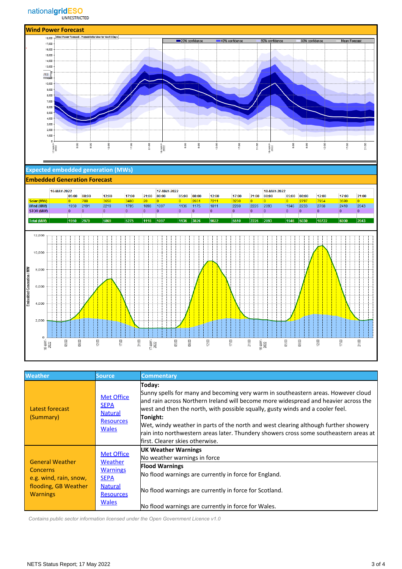

#### **Expected embedded generation (MWs)**



| <b>Weather</b>                                                                                                                         | <b>Source</b>                                                                                                                                                          | <b>Commentary</b>                                                                                                                                                                                                                                                                                                                                                                                                                                                                                    |
|----------------------------------------------------------------------------------------------------------------------------------------|------------------------------------------------------------------------------------------------------------------------------------------------------------------------|------------------------------------------------------------------------------------------------------------------------------------------------------------------------------------------------------------------------------------------------------------------------------------------------------------------------------------------------------------------------------------------------------------------------------------------------------------------------------------------------------|
| Latest forecast<br>(Summary)                                                                                                           | <b>Met Office</b><br><b>SEPA</b><br><b>Natural</b><br><b>Resources</b><br><b>Wales</b>                                                                                 | Today:<br>Sunny spells for many and becoming very warm in southeastern areas. However cloud<br>and rain across Northern Ireland will become more widespread and heavier across the<br>west and then the north, with possible squally, gusty winds and a cooler feel.<br>Tonight:<br>Wet, windy weather in parts of the north and west clearing although further showery<br>rain into northwestern areas later. Thundery showers cross some southeastern areas at<br>lfirst. Clearer skies otherwise. |
| <b>General Weather</b><br>Concerns                                                                                                     | <b>Met Office</b><br>Weather<br><b>Warnings</b>                                                                                                                        | <b>UK Weather Warnings</b><br>No weather warnings in force<br><b>Flood Warnings</b>                                                                                                                                                                                                                                                                                                                                                                                                                  |
| <b>SEPA</b><br>e.g. wind, rain, snow,<br>flooding, GB Weather<br><b>Natural</b><br><b>Warnings</b><br><b>Resources</b><br><b>Wales</b> | No flood warnings are currently in force for England.<br>No flood warnings are currently in force for Scotland.<br>No flood warnings are currently in force for Wales. |                                                                                                                                                                                                                                                                                                                                                                                                                                                                                                      |

 *Contains public sector information licensed under the Open Government Licence v1.0*